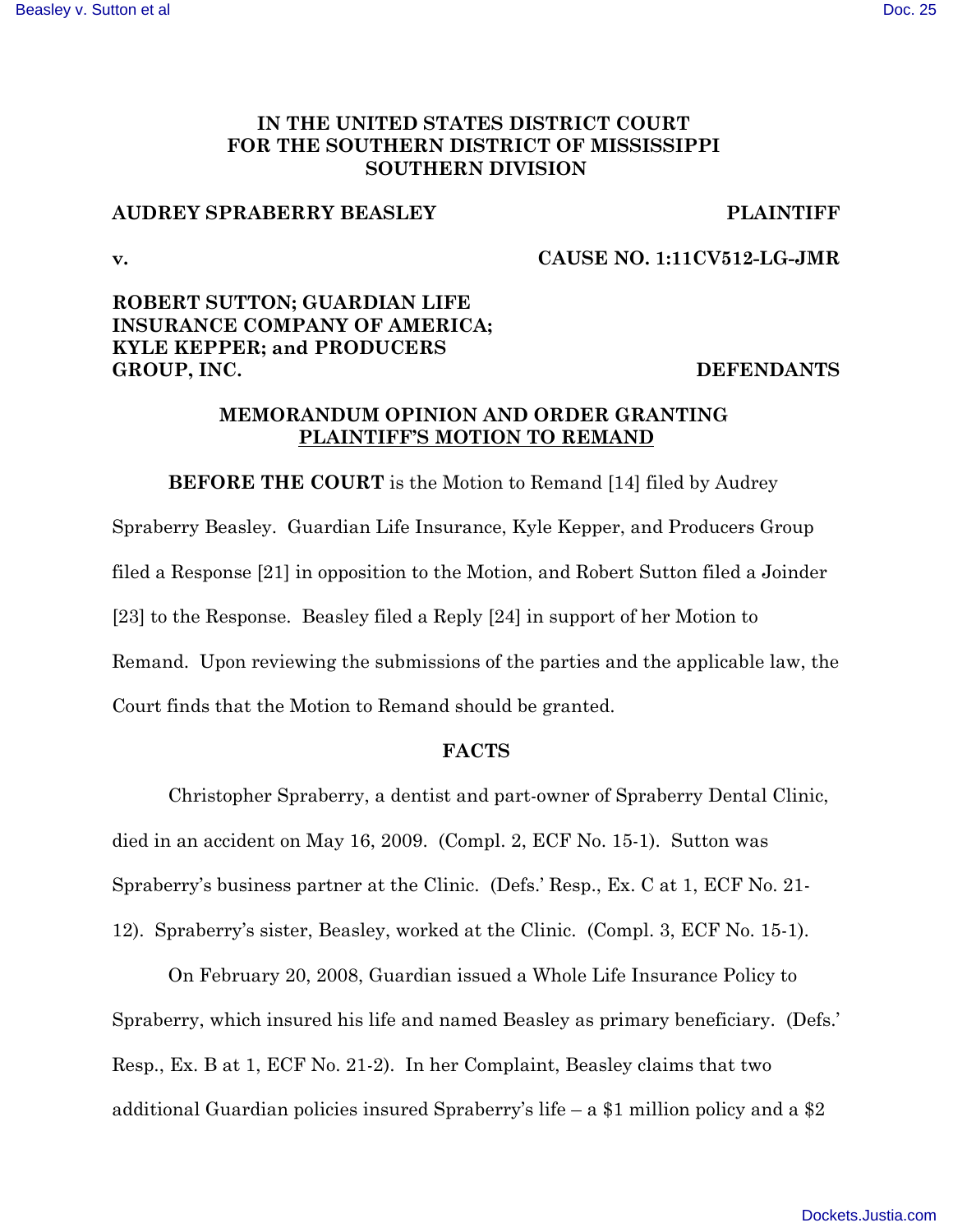## IN THE UNITED STATES DISTRICT COURT FOR THE SOUTHERN DISTRICT OF MISSISSIPPI **SOUTHERN DIVISION**

### **AUDREY SPRABERRY BEASLEY**

**PLAINTIFF** 

 $\mathbf{v}$ .

### CAUSE NO. 1:11CV512-LG-JMR

# ROBERT SUTTON; GUARDIAN LIFE **INSURANCE COMPANY OF AMERICA: KYLE KEPPER; and PRODUCERS** GROUP, INC.

#### **DEFENDANTS**

## MEMORANDUM OPINION AND ORDER GRANTING PLAINTIFF'S MOTION TO REMAND

**BEFORE THE COURT** is the Motion to Remand [14] filed by Audrey Spraberry Beasley. Guardian Life Insurance, Kyle Kepper, and Producers Group filed a Response [21] in opposition to the Motion, and Robert Sutton filed a Joinder [23] to the Response. Beasley filed a Reply [24] in support of her Motion to Remand. Upon reviewing the submissions of the parties and the applicable law, the Court finds that the Motion to Remand should be granted.

#### **FACTS**

Christopher Spraberry, a dentist and part-owner of Spraberry Dental Clinic, died in an accident on May 16, 2009. (Compl. 2, ECF No. 15-1). Sutton was Spraberry's business partner at the Clinic. (Defs.' Resp., Ex. C at 1, ECF No. 21-12). Spraberry's sister, Beasley, worked at the Clinic. (Compl. 3, ECF No. 15-1).

On February 20, 2008, Guardian issued a Whole Life Insurance Policy to Spraberry, which insured his life and named Beasley as primary beneficiary. (Defs.' Resp., Ex. B at 1, ECF No. 21-2). In her Complaint, Beasley claims that two additional Guardian policies insured Spraberry's life – a \$1 million policy and a \$2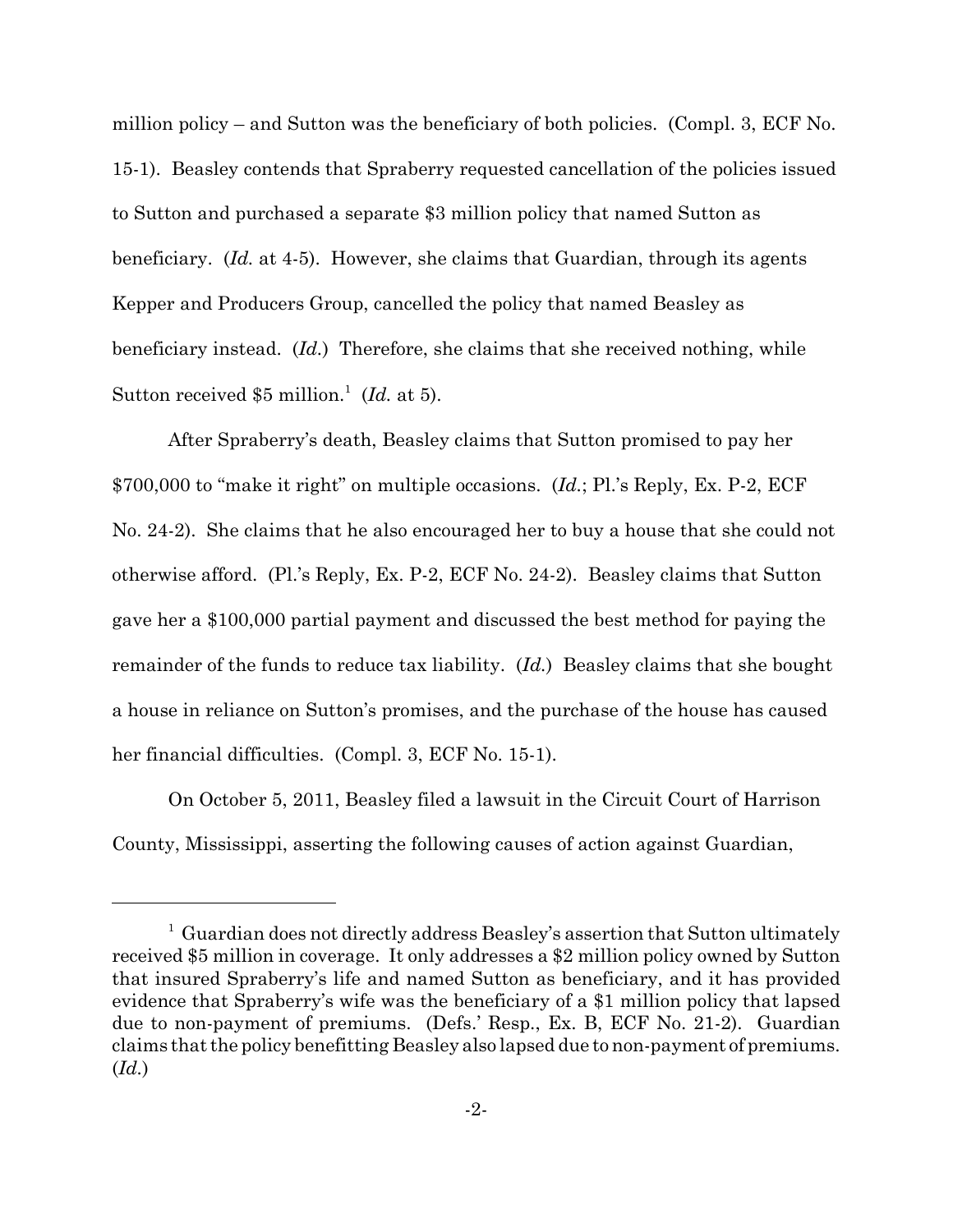million policy – and Sutton was the beneficiary of both policies. (Compl. 3, ECF No. 15-1). Beasley contends that Spraberry requested cancellation of the policies issued to Sutton and purchased a separate \$3 million policy that named Sutton as beneficiary.  $(Id.$  at 4-5). However, she claims that Guardian, through its agents Kepper and Producers Group, cancelled the policy that named Beasley as beneficiary instead. (Id.) Therefore, she claims that she received nothing, while Sutton received \$5 million.<sup>1</sup> (*Id.* at 5).

After Spraberry's death, Beasley claims that Sutton promised to pay her \$700,000 to "make it right" on multiple occasions.  $(Id.; P!.'s Reply, Ex. P-2, ECF$ No. 24-2). She claims that he also encouraged her to buy a house that she could not otherwise afford. (Pl.'s Reply, Ex. P-2, ECF No. 24-2). Beasley claims that Sutton gave her a \$100,000 partial payment and discussed the best method for paying the remainder of the funds to reduce tax liability. (Id.) Beasley claims that she bought a house in reliance on Sutton's promises, and the purchase of the house has caused her financial difficulties. (Compl. 3, ECF No. 15-1).

On October 5, 2011, Beasley filed a lawsuit in the Circuit Court of Harrison County, Mississippi, asserting the following causes of action against Guardian,

 $1$  Guardian does not directly address Beasley's assertion that Sutton ultimately received \$5 million in coverage. It only addresses a \$2 million policy owned by Sutton that insured Spraberry's life and named Sutton as beneficiary, and it has provided evidence that Spraberry's wife was the beneficiary of a \$1 million policy that lapsed due to non-payment of premiums. (Defs.' Resp., Ex. B, ECF No. 21-2). Guardian claims that the policy benefitting Beasley also lapsed due to non-payment of premiums.  $(Id.)$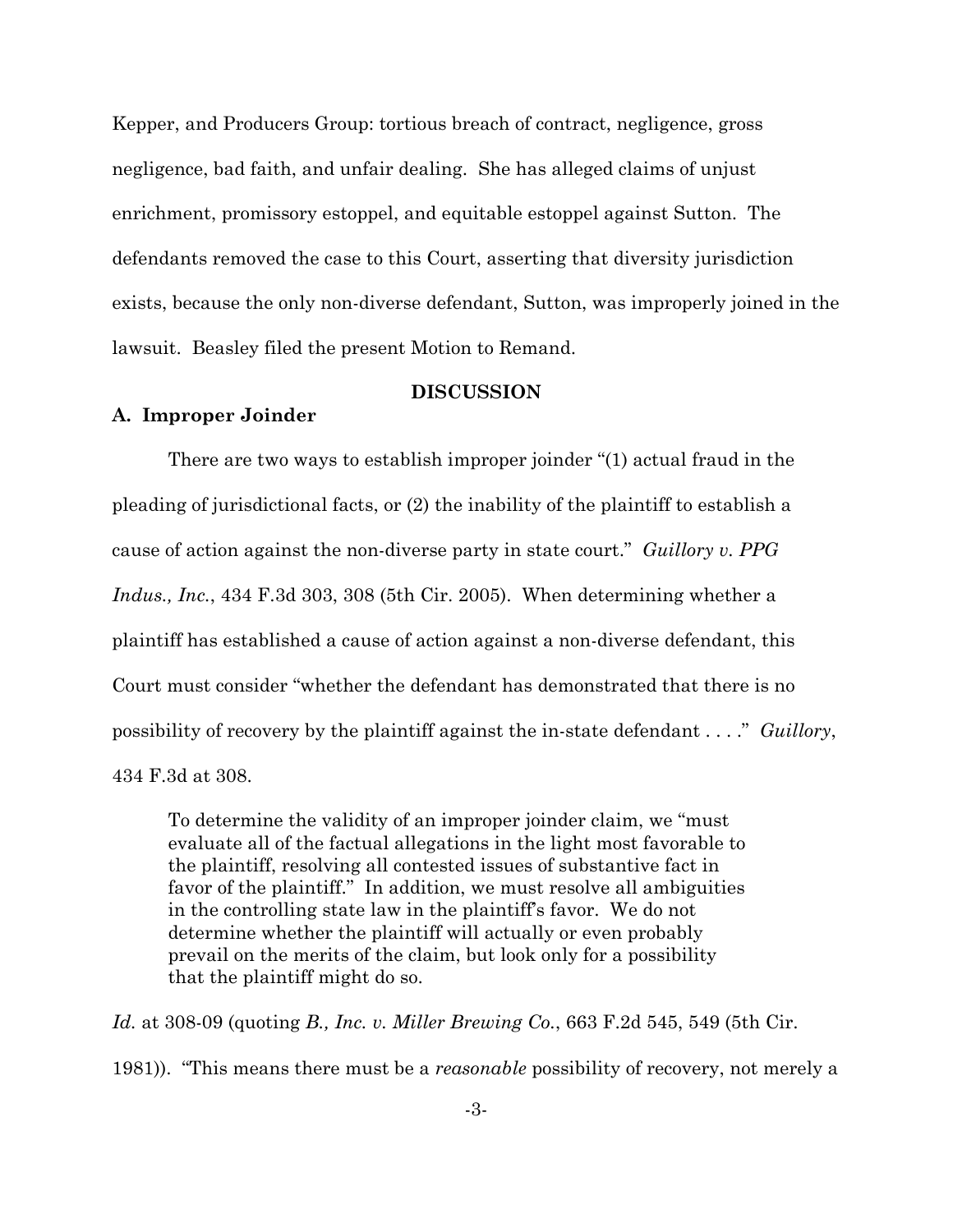Kepper, and Producers Group: tortious breach of contract, negligence, gross negligence, bad faith, and unfair dealing. She has alleged claims of unjust enrichment, promissory estoppel, and equitable estoppel against Sutton. The defendants removed the case to this Court, asserting that diversity jurisdiction exists, because the only non-diverse defendant, Sutton, was improperly joined in the lawsuit. Beasley filed the present Motion to Remand.

#### **DISCUSSION**

#### A. Improper Joinder

There are two ways to establish improper joinder "(1) actual fraud in the pleading of jurisdictional facts, or (2) the inability of the plaintiff to establish a cause of action against the non-diverse party in state court." Guillory v. PPG Indus., Inc., 434 F.3d 303, 308 (5th Cir. 2005). When determining whether a plaintiff has established a cause of action against a non-diverse defendant, this Court must consider "whether the defendant has demonstrated that there is no possibility of recovery by the plaintiff against the in-state defendant . . . ." Guillory, 434 F.3d at 308.

To determine the validity of an improper joinder claim, we "must" evaluate all of the factual allegations in the light most favorable to the plaintiff, resolving all contested issues of substantive fact in favor of the plaintiff." In addition, we must resolve all ambiguities in the controlling state law in the plaintiff's favor. We do not determine whether the plaintiff will actually or even probably prevail on the merits of the claim, but look only for a possibility that the plaintiff might do so.

Id. at 308-09 (quoting B., Inc. v. Miller Brewing Co., 663 F.2d 545, 549 (5th Cir. 1981)). "This means there must be a *reasonable* possibility of recovery, not merely a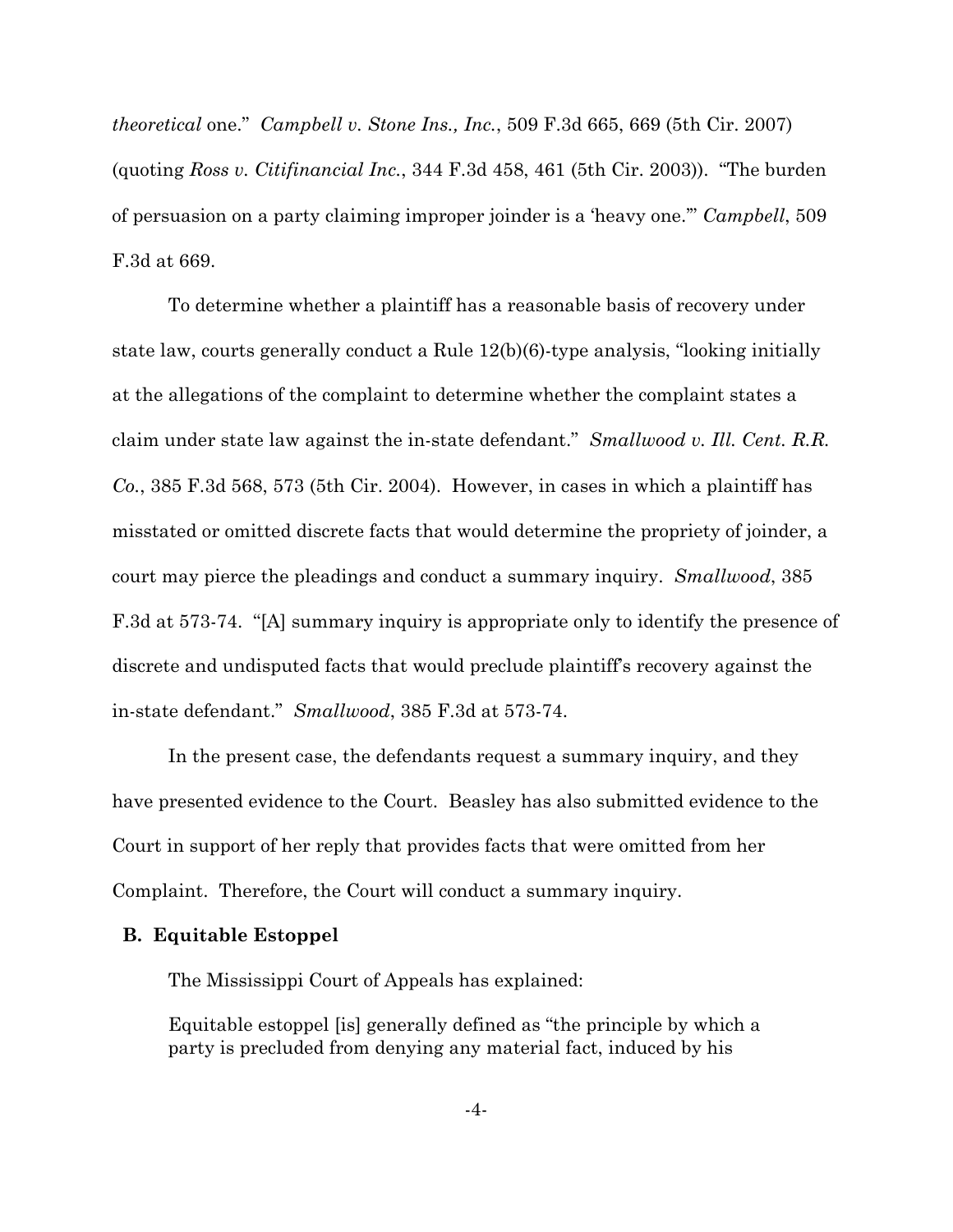*theoretical* one." *Campbell v. Stone Ins., Inc.,* 509 F.3d 665, 669 (5th Cir. 2007) (quoting Ross v. Citifinancial Inc., 344 F.3d  $458$ , 461 (5th Cir. 2003)). "The burden of persuasion on a party claiming improper joinder is a 'heavy one." Campbell, 509 F.3d at 669.

To determine whether a plaintiff has a reasonable basis of recovery under state law, courts generally conduct a Rule 12(b)(6)-type analysis, "looking initially at the allegations of the complaint to determine whether the complaint states a claim under state law against the in-state defendant." Smallwood v. Ill. Cent. R.R.  $Co.$ , 385 F.3d 568, 573 (5th Cir. 2004). However, in cases in which a plaintiff has misstated or omitted discrete facts that would determine the propriety of joinder, a court may pierce the pleadings and conduct a summary inquiry. Smallwood, 385 F.3d at 573-74. "[A] summary inquiry is appropriate only to identify the presence of discrete and undisputed facts that would preclude plaintiff's recovery against the in-state defendant." Smallwood, 385 F.3d at 573-74.

In the present case, the defendants request a summary inquiry, and they have presented evidence to the Court. Beasley has also submitted evidence to the Court in support of her reply that provides facts that were omitted from her Complaint. Therefore, the Court will conduct a summary inquiry.

#### **B.** Equitable Estoppel

The Mississippi Court of Appeals has explained:

Equitable estoppel [is] generally defined as "the principle by which a party is precluded from denying any material fact, induced by his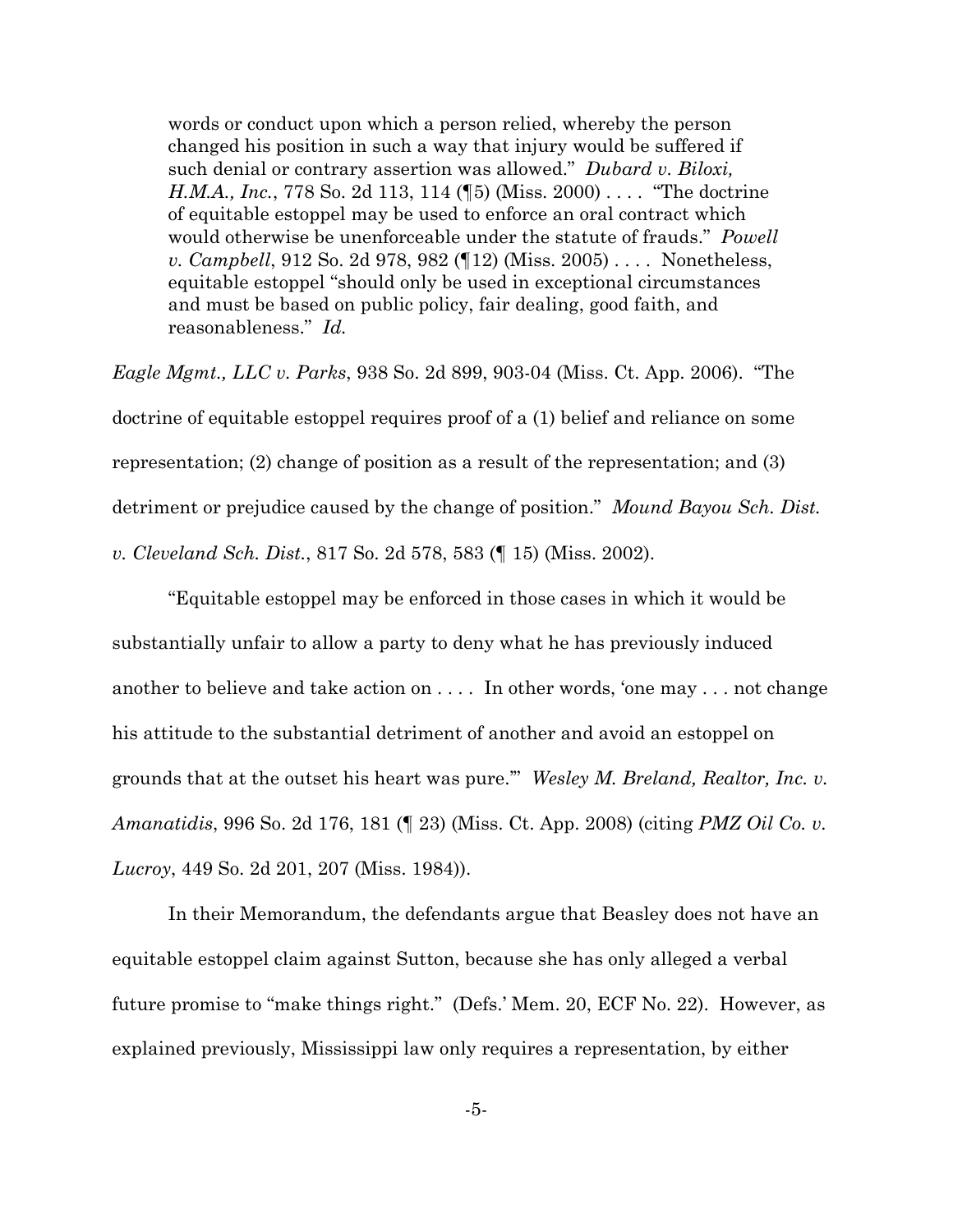words or conduct upon which a person relied, whereby the person changed his position in such a way that injury would be suffered if such denial or contrary assertion was allowed." Dubard v. Biloxi, *H.M.A., Inc.*, 778 So. 2d 113, 114 (15) (Miss. 2000) .... "The doctrine of equitable estoppel may be used to enforce an oral contract which would otherwise be unenforceable under the statute of frauds." Powell v. Campbell, 912 So. 2d 978, 982 (12) (Miss. 2005).... Nonetheless, equitable estoppel "should only be used in exceptional circumstances" and must be based on public policy, fair dealing, good faith, and reasonableness." Id.

*Eagle Mgmt., LLC v. Parks, 938 So. 2d 899, 903-04 (Miss. Ct. App. 2006).* "The doctrine of equitable estoppel requires proof of a (1) belief and reliance on some representation; (2) change of position as a result of the representation; and (3) detriment or prejudice caused by the change of position." Mound Bayou Sch. Dist. v. Cleveland Sch. Dist., 817 So. 2d 578, 583 (¶ 15) (Miss. 2002).

"Equitable estoppel may be enforced in those cases in which it would be substantially unfair to allow a party to deny what he has previously induced another to believe and take action on .... In other words, 'one may ... not change his attitude to the substantial detriment of another and avoid an estoppel on grounds that at the outset his heart was pure." Wesley M. Breland, Realtor, Inc. v. Amanatidis, 996 So. 2d 176, 181 (123) (Miss. Ct. App. 2008) (citing PMZ Oil Co. v. Lucroy, 449 So. 2d 201, 207 (Miss. 1984)).

In their Memorandum, the defendants argue that Beasley does not have an equitable estoppel claim against Sutton, because she has only alleged a verbal future promise to "make things right." (Defs.' Mem. 20, ECF No. 22). However, as explained previously, Mississippi law only requires a representation, by either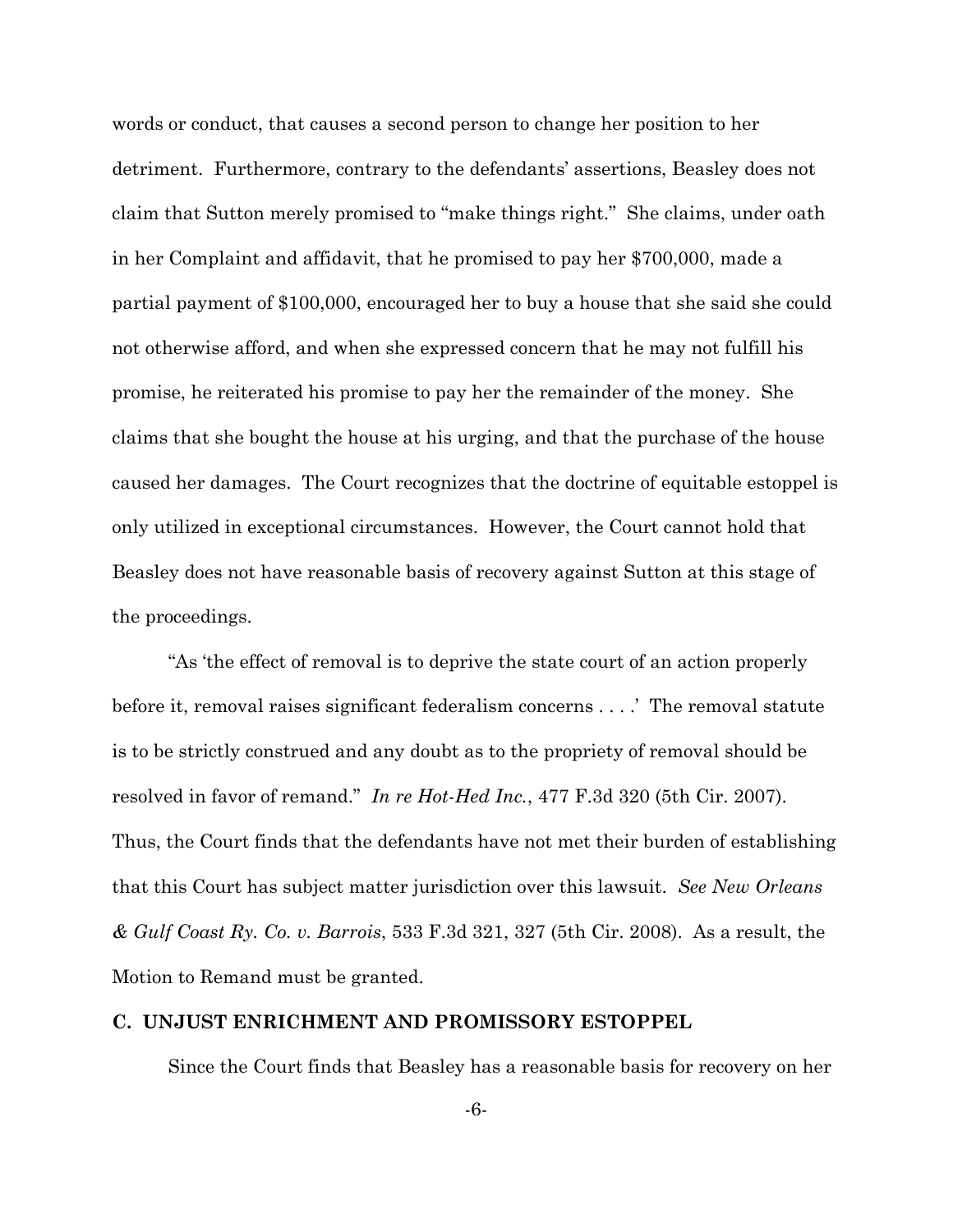words or conduct, that causes a second person to change her position to her detriment. Furthermore, contrary to the defendants' assertions, Beasley does not claim that Sutton merely promised to "make things right." She claims, under oath in her Complaint and affidavit, that he promised to pay her \$700,000, made a partial payment of \$100,000, encouraged her to buy a house that she said she could not otherwise afford, and when she expressed concern that he may not fulfill his promise, he reiterated his promise to pay her the remainder of the money. She claims that she bought the house at his urging, and that the purchase of the house caused her damages. The Court recognizes that the doctrine of equitable estoppel is only utilized in exceptional circumstances. However, the Court cannot hold that Beasley does not have reasonable basis of recovery against Sutton at this stage of the proceedings.

"As 'the effect of removal is to deprive the state court of an action properly before it, removal raises significant federalism concerns . . . . ' The removal statute is to be strictly construed and any doubt as to the propriety of removal should be resolved in favor of remand." In re Hot-Hed Inc., 477 F.3d 320 (5th Cir. 2007). Thus, the Court finds that the defendants have not met their burden of establishing that this Court has subject matter jurisdiction over this lawsuit. See New Orleans & Gulf Coast Ry. Co. v. Barrois, 533 F.3d 321, 327 (5th Cir. 2008). As a result, the Motion to Remand must be granted.

## C. UNJUST ENRICHMENT AND PROMISSORY ESTOPPEL

Since the Court finds that Beasley has a reasonable basis for recovery on her

 $-6-$